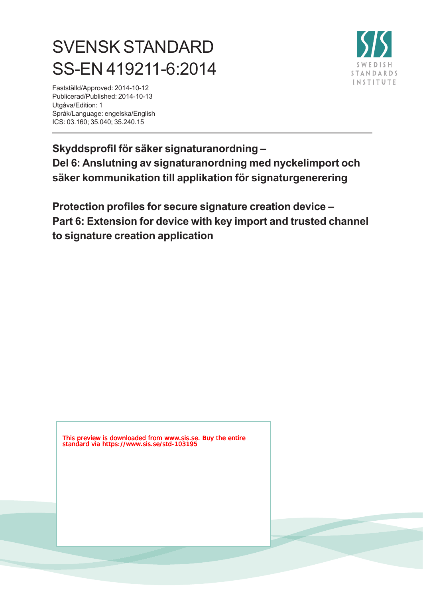# SVENSK STANDARD SS-EN 419211-6:2014



Fastställd/Approved: 2014-10-12 Publicerad/Published: 2014-10-13 Utgåva/Edition: 1 Språk/Language: engelska/English ICS: 03.160; 35.040; 35.240.15

**Skyddsprofil för säker signaturanordning – Del 6: Anslutning av signaturanordning med nyckelimport och säker kommunikation till applikation för signaturgenerering**

**Protection profiles for secure signature creation device – Part 6: Extension for device with key import and trusted channel to signature creation application**

This preview is downloaded from www.sis.se. Buy the entire standard via https://www.sis.se/std-103195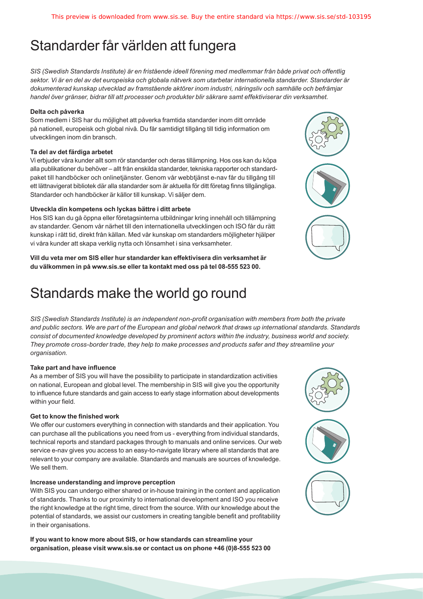# Standarder får världen att fungera

*SIS (Swedish Standards Institute) är en fristående ideell förening med medlemmar från både privat och offentlig sektor. Vi är en del av det europeiska och globala nätverk som utarbetar internationella standarder. Standarder är dokumenterad kunskap utvecklad av framstående aktörer inom industri, näringsliv och samhälle och befrämjar handel över gränser, bidrar till att processer och produkter blir säkrare samt effektiviserar din verksamhet.* 

#### **Delta och påverka**

Som medlem i SIS har du möjlighet att påverka framtida standarder inom ditt område på nationell, europeisk och global nivå. Du får samtidigt tillgång till tidig information om utvecklingen inom din bransch.

#### **Ta del av det färdiga arbetet**

Vi erbjuder våra kunder allt som rör standarder och deras tillämpning. Hos oss kan du köpa alla publikationer du behöver – allt från enskilda standarder, tekniska rapporter och standardpaket till handböcker och onlinetjänster. Genom vår webbtjänst e-nav får du tillgång till ett lättnavigerat bibliotek där alla standarder som är aktuella för ditt företag finns tillgängliga. Standarder och handböcker är källor till kunskap. Vi säljer dem.

#### **Utveckla din kompetens och lyckas bättre i ditt arbete**

Hos SIS kan du gå öppna eller företagsinterna utbildningar kring innehåll och tillämpning av standarder. Genom vår närhet till den internationella utvecklingen och ISO får du rätt kunskap i rätt tid, direkt från källan. Med vår kunskap om standarders möjligheter hjälper vi våra kunder att skapa verklig nytta och lönsamhet i sina verksamheter.

**Vill du veta mer om SIS eller hur standarder kan effektivisera din verksamhet är du välkommen in på www.sis.se eller ta kontakt med oss på tel 08-555 523 00.**

# Standards make the world go round

*SIS (Swedish Standards Institute) is an independent non-profit organisation with members from both the private and public sectors. We are part of the European and global network that draws up international standards. Standards consist of documented knowledge developed by prominent actors within the industry, business world and society. They promote cross-border trade, they help to make processes and products safer and they streamline your organisation.*

#### **Take part and have influence**

As a member of SIS you will have the possibility to participate in standardization activities on national, European and global level. The membership in SIS will give you the opportunity to influence future standards and gain access to early stage information about developments within your field.

#### **Get to know the finished work**

We offer our customers everything in connection with standards and their application. You can purchase all the publications you need from us - everything from individual standards, technical reports and standard packages through to manuals and online services. Our web service e-nav gives you access to an easy-to-navigate library where all standards that are relevant to your company are available. Standards and manuals are sources of knowledge. We sell them.

#### **Increase understanding and improve perception**

With SIS you can undergo either shared or in-house training in the content and application of standards. Thanks to our proximity to international development and ISO you receive the right knowledge at the right time, direct from the source. With our knowledge about the potential of standards, we assist our customers in creating tangible benefit and profitability in their organisations.

**If you want to know more about SIS, or how standards can streamline your organisation, please visit www.sis.se or contact us on phone +46 (0)8-555 523 00**



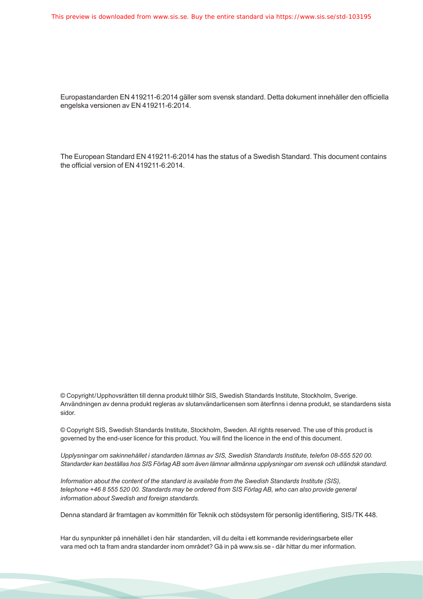Europastandarden EN 419211-6:2014 gäller som svensk standard. Detta dokument innehåller den officiella engelska versionen av EN 419211-6:2014.

The European Standard EN 419211-6:2014 has the status of a Swedish Standard. This document contains the official version of EN 419211-6:2014.

© Copyright / Upphovsrätten till denna produkt tillhör SIS, Swedish Standards Institute, Stockholm, Sverige. Användningen av denna produkt regleras av slutanvändarlicensen som återfinns i denna produkt, se standardens sista sidor.

© Copyright SIS, Swedish Standards Institute, Stockholm, Sweden. All rights reserved. The use of this product is governed by the end-user licence for this product. You will find the licence in the end of this document.

*Upplysningar om sakinnehållet i standarden lämnas av SIS, Swedish Standards Institute, telefon 08-555 520 00. Standarder kan beställas hos SIS Förlag AB som även lämnar allmänna upplysningar om svensk och utländsk standard.*

*Information about the content of the standard is available from the Swedish Standards Institute (SIS), telephone +46 8 555 520 00. Standards may be ordered from SIS Förlag AB, who can also provide general information about Swedish and foreign standards.*

Denna standard är framtagen av kommittén för Teknik och stödsystem för personlig identifiering, SIS / TK 448.

Har du synpunkter på innehållet i den här standarden, vill du delta i ett kommande revideringsarbete eller vara med och ta fram andra standarder inom området? Gå in på www.sis.se - där hittar du mer information.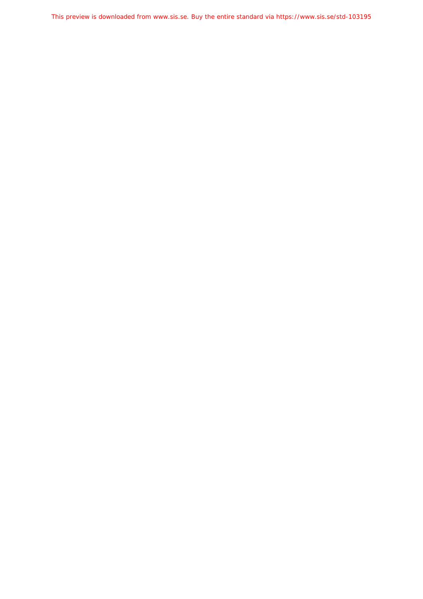This preview is downloaded from www.sis.se. Buy the entire standard via https://www.sis.se/std-103195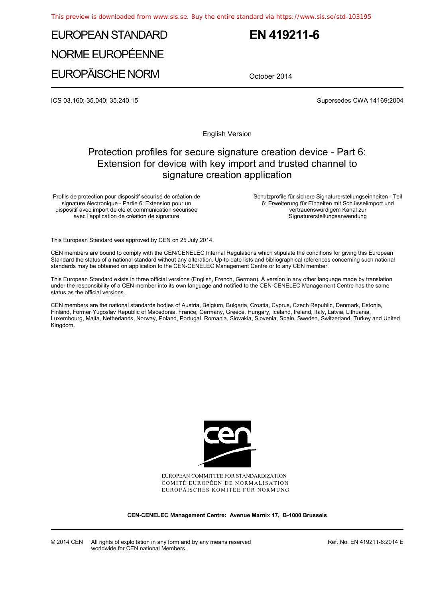# EUROPEAN STANDARD

# **EN 419211-6**

October 2014

# NORME EUROPÉENNE

EUROPÄISCHE NORM

ICS 03.160; 35.040; 35.240.15 Supersedes CWA 14169:2004

English Version

# Protection profiles for secure signature creation device - Part 6: Extension for device with key import and trusted channel to signature creation application

Profils de protection pour dispositif sécurisé de création de signature électronique - Partie 6: Extension pour un dispositif avec import de clé et communication sécurisée avec l'application de création de signature

 Schutzprofile für sichere Signaturerstellungseinheiten - Teil 6: Erweiterung für Einheiten mit Schlüsselimport und vertrauenswürdigem Kanal zur Signaturerstellungsanwendung

This European Standard was approved by CEN on 25 July 2014.

CEN members are bound to comply with the CEN/CENELEC Internal Regulations which stipulate the conditions for giving this European Standard the status of a national standard without any alteration. Up-to-date lists and bibliographical references concerning such national standards may be obtained on application to the CEN-CENELEC Management Centre or to any CEN member.

This European Standard exists in three official versions (English, French, German). A version in any other language made by translation under the responsibility of a CEN member into its own language and notified to the CEN-CENELEC Management Centre has the same status as the official versions.

CEN members are the national standards bodies of Austria, Belgium, Bulgaria, Croatia, Cyprus, Czech Republic, Denmark, Estonia, Finland, Former Yugoslav Republic of Macedonia, France, Germany, Greece, Hungary, Iceland, Ireland, Italy, Latvia, Lithuania, Luxembourg, Malta, Netherlands, Norway, Poland, Portugal, Romania, Slovakia, Slovenia, Spain, Sweden, Switzerland, Turkey and United Kingdom.



EUROPEAN COMMITTEE FOR STANDARDIZATION COMITÉ EUROPÉEN DE NORMALISATION EUROPÄISCHES KOMITEE FÜR NORMUNG

**CEN-CENELEC Management Centre: Avenue Marnix 17, B-1000 Brussels**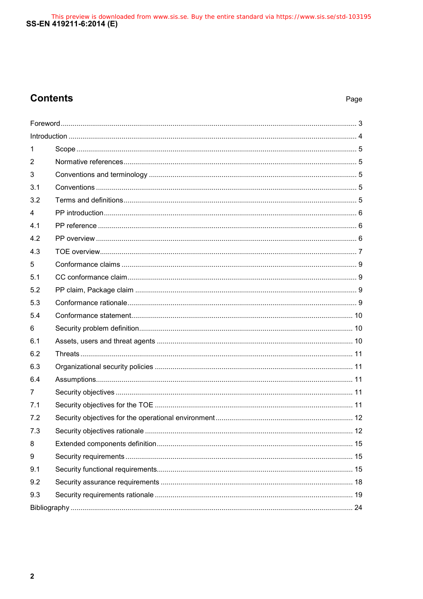This preview is downloaded from www.sis.se. Buy the entire standard via https://www.sis.se/std-103195<br>SS-EN 419211-6:2014 (E)

# **Contents**

# Page

| 1   |  |  |  |
|-----|--|--|--|
| 2   |  |  |  |
| 3   |  |  |  |
| 3.1 |  |  |  |
| 3.2 |  |  |  |
| 4   |  |  |  |
| 4.1 |  |  |  |
| 4.2 |  |  |  |
| 4.3 |  |  |  |
| 5   |  |  |  |
| 5.1 |  |  |  |
| 5.2 |  |  |  |
| 5.3 |  |  |  |
| 5.4 |  |  |  |
| 6   |  |  |  |
| 6.1 |  |  |  |
| 6.2 |  |  |  |
| 6.3 |  |  |  |
| 6.4 |  |  |  |
| 7   |  |  |  |
| 7.1 |  |  |  |
| 7.2 |  |  |  |
| 7.3 |  |  |  |
| 8   |  |  |  |
| 9   |  |  |  |
| 9.1 |  |  |  |
| 9.2 |  |  |  |
| 9.3 |  |  |  |
|     |  |  |  |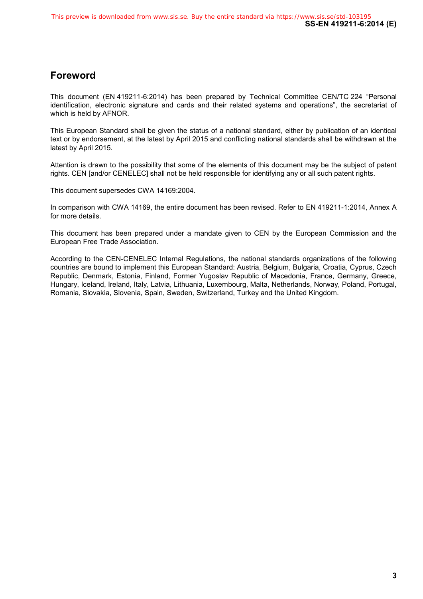# <span id="page-6-0"></span>**Foreword**

This document (EN 419211-6:2014) has been prepared by Technical Committee CEN/TC 224 "Personal identification, electronic signature and cards and their related systems and operations", the secretariat of which is held by AFNOR.

This European Standard shall be given the status of a national standard, either by publication of an identical text or by endorsement, at the latest by April 2015 and conflicting national standards shall be withdrawn at the latest by April 2015.

Attention is drawn to the possibility that some of the elements of this document may be the subject of patent rights. CEN [and/or CENELEC] shall not be held responsible for identifying any or all such patent rights.

This document supersedes CWA 14169:2004.

In comparison with CWA 14169, the entire document has been revised. Refer to EN 419211-1:2014, Annex A for more details.

This document has been prepared under a mandate given to CEN by the European Commission and the European Free Trade Association.

According to the CEN-CENELEC Internal Regulations, the national standards organizations of the following countries are bound to implement this European Standard: Austria, Belgium, Bulgaria, Croatia, Cyprus, Czech Republic, Denmark, Estonia, Finland, Former Yugoslav Republic of Macedonia, France, Germany, Greece, Hungary, Iceland, Ireland, Italy, Latvia, Lithuania, Luxembourg, Malta, Netherlands, Norway, Poland, Portugal, Romania, Slovakia, Slovenia, Spain, Sweden, Switzerland, Turkey and the United Kingdom.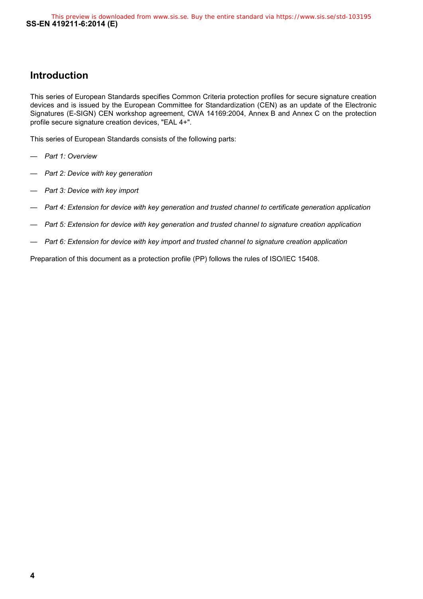# <span id="page-7-0"></span>**Introduction**

This series of European Standards specifies Common Criteria protection profiles for secure signature creation devices and is issued by the European Committee for Standardization (CEN) as an update of the Electronic Signatures (E-SIGN) CEN workshop agreement, CWA 14169:2004, Annex B and Annex C on the protection profile secure signature creation devices, "EAL 4+".

This series of European Standards consists of the following parts:

- *Part 1: Overview*
- *Part 2: Device with key generation*
- *Part 3: Device with key import*
- *Part 4: Extension for device with key generation and trusted channel to certificate generation application*
- *Part 5: Extension for device with key generation and trusted channel to signature creation application*
- *Part 6: Extension for device with key import and trusted channel to signature creation application*

Preparation of this document as a protection profile (PP) follows the rules of ISO/IEC 15408.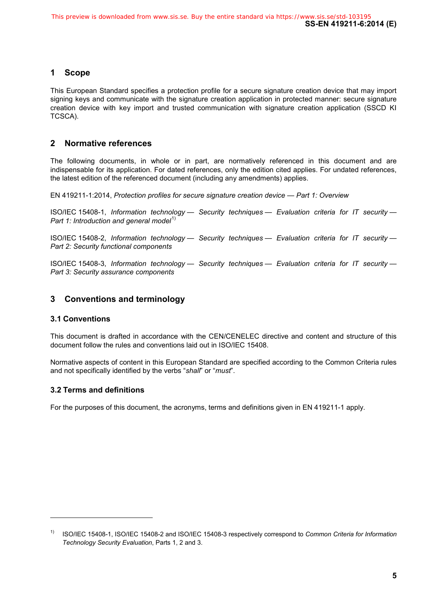# <span id="page-8-0"></span>**1 Scope**

This European Standard specifies a protection profile for a secure signature creation device that may import signing keys and communicate with the signature creation application in protected manner: secure signature creation device with key import and trusted communication with signature creation application (SSCD KI TCSCA).

# <span id="page-8-1"></span>**2 Normative references**

The following documents, in whole or in part, are normatively referenced in this document and are indispensable for its application. For dated references, only the edition cited applies. For undated references, the latest edition of the referenced document (including any amendments) applies.

EN 419211-1:2014, *Protection profiles for secure signature creation device — Part 1: Overview*

ISO/IEC 15408-1, *Information technology — Security techniques — Evaluation criteria for IT security — Part* [1](#page-8-5): Introduction and general model<sup>1)</sup>

ISO/IEC 15408-2, *Information technology — Security techniques — Evaluation criteria for IT security — Part 2: Security functional components*

ISO/IEC 15408-3, *Information technology — Security techniques — Evaluation criteria for IT security — Part 3: Security assurance components*

## <span id="page-8-2"></span>**3 Conventions and terminology**

### <span id="page-8-3"></span>**3.1 Conventions**

-

This document is drafted in accordance with the CEN/CENELEC directive and content and structure of this document follow the rules and conventions laid out in ISO/IEC 15408.

Normative aspects of content in this European Standard are specified according to the Common Criteria rules and not specifically identified by the verbs "*shall*" or "*must*".

#### <span id="page-8-4"></span>**3.2 Terms and definitions**

For the purposes of this document, the acronyms, terms and definitions given in EN 419211-1 apply.

<span id="page-8-5"></span><sup>1)</sup> ISO/IEC 15408-1, ISO/IEC 15408-2 and ISO/IEC 15408-3 respectively correspond to *Common Criteria for Information Technology Security Evaluation*, Parts 1, 2 and 3.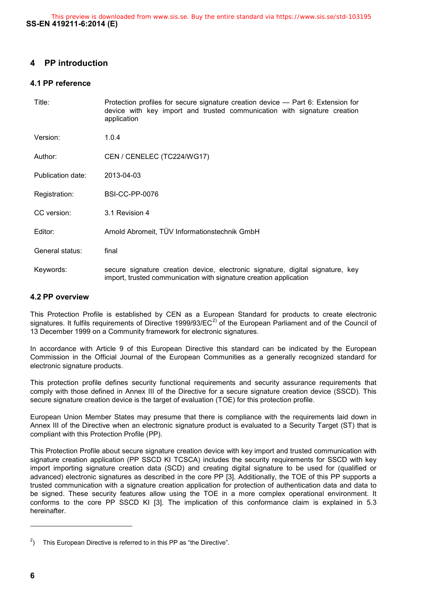### <span id="page-9-0"></span>**4 PP introduction**

### <span id="page-9-1"></span>**4.1 PP reference**

| Title:            | Protection profiles for secure signature creation device - Part 6: Extension for<br>device with key import and trusted communication with signature creation<br>application |
|-------------------|-----------------------------------------------------------------------------------------------------------------------------------------------------------------------------|
| Version:          | 1.0.4                                                                                                                                                                       |
| Author:           | CEN / CENELEC (TC224/WG17)                                                                                                                                                  |
| Publication date: | 2013-04-03                                                                                                                                                                  |
| Registration:     | <b>BSI-CC-PP-0076</b>                                                                                                                                                       |
| CC version:       | 3.1 Revision 4                                                                                                                                                              |
| Editor:           | Arnold Abromeit, TÜV Informationstechnik GmbH                                                                                                                               |
| General status:   | final                                                                                                                                                                       |
| Keywords:         | secure signature creation device, electronic signature, digital signature, key<br>import, trusted communication with signature creation application                         |

#### <span id="page-9-2"></span>**4.2 PP overview**

This Protection Profile is established by CEN as a European Standard for products to create electronic signatures. It fulfils requirements of Directive 1999/93/ $EC^{2}$  $EC^{2}$  $EC^{2}$  of the European Parliament and of the Council of 13 December 1999 on a Community framework for electronic signatures.

In accordance with Article 9 of this European Directive this standard can be indicated by the European Commission in the Official Journal of the European Communities as a generally recognized standard for electronic signature products.

This protection profile defines security functional requirements and security assurance requirements that comply with those defined in Annex III of the Directive for a secure signature creation device (SSCD). This secure signature creation device is the target of evaluation (TOE) for this protection profile.

European Union Member States may presume that there is compliance with the requirements laid down in Annex III of the Directive when an electronic signature product is evaluated to a Security Target (ST) that is compliant with this Protection Profile (PP).

This Protection Profile about secure signature creation device with key import and trusted communication with signature creation application (PP SSCD KI TCSCA) includes the security requirements for SSCD with key import importing signature creation data (SCD) and creating digital signature to be used for (qualified or advanced) electronic signatures as described in the core PP [3]. Additionally, the TOE of this PP supports a trusted communication with a signature creation application for protection of authentication data and data to be signed. These security features allow using the TOE in a more complex operational environment. It conforms to the core PP SSCD KI [3]. The implication of this conformance claim is explained in 5.3 hereinafter.

-

<span id="page-9-3"></span><sup>&</sup>lt;sup>2</sup>) This European Directive is referred to in this PP as "the Directive".